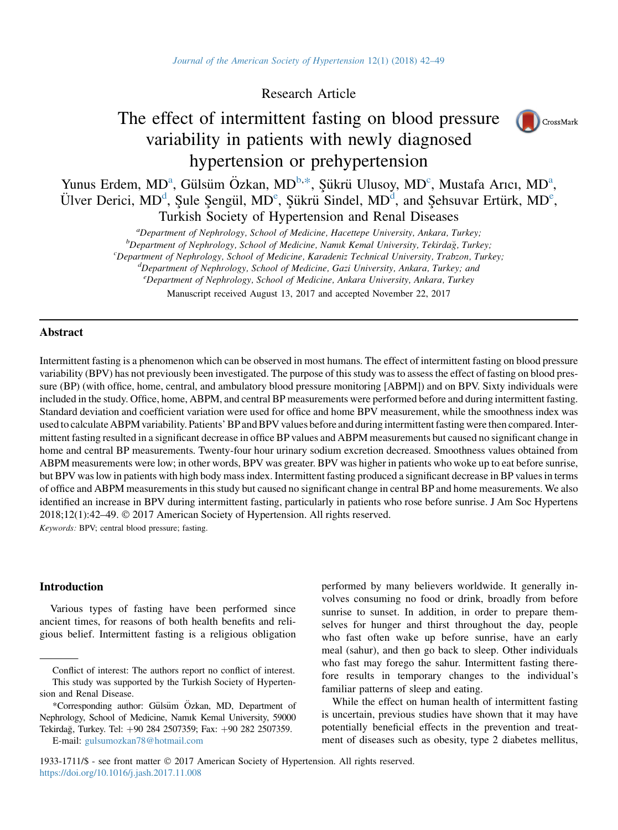Research Article

# The effect of intermittent fasting on blood pressure variability in patients with newly diagnosed hypertension or prehypertension



Yunus Erdem, MD<sup>a</sup>, Gülsüm Özkan, MD<sup>b,\*</sup>, Şükrü Ulusoy, MD<sup>c</sup>, Mustafa Arıcı, MD<sup>a</sup>, Ülver Derici, MD<sup>d</sup>, Şule Şengül, MD<sup>e</sup>, Şükrü Sindel, MD<sup>d</sup>, and Şehsuvar Ertürk, MD<sup>e</sup>, Turkish Society of Hypertension and Renal Diseases

*a* Department of Nephrology, School of Medicine, Hacettepe University, Ankara, Turkey;<br><sup>b</sup> Department of Nephrology, School of Medicine, Namyk Kamal University, Tekirdağ, Turk

 ${}^{\circ}$ Department of Nephrology, School of Medicine, Namık Kemal University, Tekirdağ, Turkey;<br> ${}^{\circ}$ Department of Nephrology, School of Medicine, Karadeniz Technical University, Trabzon, Turk

 ${}^c$ Department of Nephrology, School of Medicine, Karadeniz Technical University, Trabzon, Turkey;

 ${}^d$ Department of Nephrology, School of Medicine, Gazi University, Ankara, Turkey; and

<sup>e</sup>Department of Nephrology, School of Medicine, Ankara University, Ankara, Turkey

Manuscript received August 13, 2017 and accepted November 22, 2017

# Abstract

Intermittent fasting is a phenomenon which can be observed in most humans. The effect of intermittent fasting on blood pressure variability (BPV) has not previously been investigated. The purpose of this study was to assess the effect of fasting on blood pressure (BP) (with office, home, central, and ambulatory blood pressure monitoring [ABPM]) and on BPV. Sixty individuals were included in the study. Office, home, ABPM, and central BP measurements were performed before and during intermittent fasting. Standard deviation and coefficient variation were used for office and home BPV measurement, while the smoothness index was used to calculate ABPM variability. Patients' BP and BPV values before and during intermittent fasting were then compared. Intermittent fasting resulted in a significant decrease in office BP values and ABPM measurements but caused no significant change in home and central BP measurements. Twenty-four hour urinary sodium excretion decreased. Smoothness values obtained from ABPM measurements were low; in other words, BPV was greater. BPV was higher in patients who woke up to eat before sunrise, but BPV was low in patients with high body mass index. Intermittent fasting produced a significant decrease in BP values in terms of office and ABPM measurements in this study but caused no significant change in central BP and home measurements. We also identified an increase in BPV during intermittent fasting, particularly in patients who rose before sunrise. J Am Soc Hypertens 2018;12(1):42–49. 2017 American Society of Hypertension. All rights reserved.

Keywords: BPV; central blood pressure; fasting.

# Introduction

Various types of fasting have been performed since ancient times, for reasons of both health benefits and religious belief. Intermittent fasting is a religious obligation performed by many believers worldwide. It generally involves consuming no food or drink, broadly from before sunrise to sunset. In addition, in order to prepare themselves for hunger and thirst throughout the day, people who fast often wake up before sunrise, have an early meal (sahur), and then go back to sleep. Other individuals who fast may forego the sahur. Intermittent fasting therefore results in temporary changes to the individual's familiar patterns of sleep and eating.

While the effect on human health of intermittent fasting is uncertain, previous studies have shown that it may have potentially beneficial effects in the prevention and treatment of diseases such as obesity, type 2 diabetes mellitus,

1933-1711/\$ - see front matter 2017 American Society of Hypertension. All rights reserved. <https://doi.org/10.1016/j.jash.2017.11.008>

Conflict of interest: The authors report no conflict of interest. This study was supported by the Turkish Society of Hypertension and Renal Disease.

<sup>\*</sup>Corresponding author: Gülsüm Özkan, MD, Department of Nephrology, School of Medicine, Namık Kemal University, 59000 Tekirdağ, Turkey. Tel: +90 284 2507359; Fax: +90 282 2507359. E-mail: [gulsumozkan78@hotmail.com](mailto:gulsumozkan78@hotmail.com)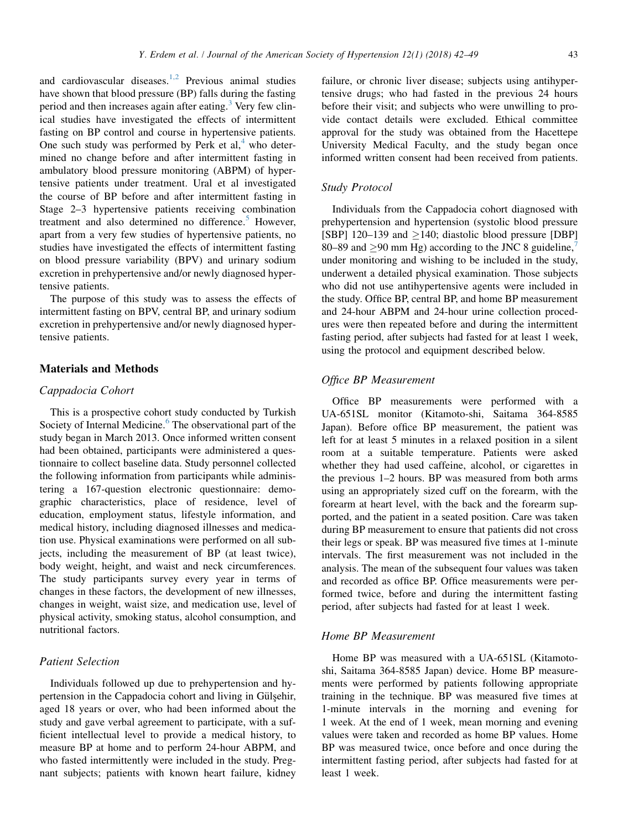and cardiovascular diseases. $1,2$  Previous animal studies have shown that blood pressure (BP) falls during the fasting period and then increases again after eating.<sup>[3](#page-6-0)</sup> Very few clinical studies have investigated the effects of intermittent fasting on BP control and course in hypertensive patients. One such study was performed by Perk et al,<sup>[4](#page-6-0)</sup> who determined no change before and after intermittent fasting in ambulatory blood pressure monitoring (ABPM) of hypertensive patients under treatment. Ural et al investigated the course of BP before and after intermittent fasting in Stage 2–3 hypertensive patients receiving combination treatment and also determined no difference.<sup>[5](#page-6-0)</sup> However, apart from a very few studies of hypertensive patients, no studies have investigated the effects of intermittent fasting on blood pressure variability (BPV) and urinary sodium excretion in prehypertensive and/or newly diagnosed hypertensive patients.

The purpose of this study was to assess the effects of intermittent fasting on BPV, central BP, and urinary sodium excretion in prehypertensive and/or newly diagnosed hypertensive patients.

#### Materials and Methods

# Cappadocia Cohort

This is a prospective cohort study conducted by Turkish Society of Internal Medicine.<sup>[6](#page-6-0)</sup> The observational part of the study began in March 2013. Once informed written consent had been obtained, participants were administered a questionnaire to collect baseline data. Study personnel collected the following information from participants while administering a 167-question electronic questionnaire: demographic characteristics, place of residence, level of education, employment status, lifestyle information, and medical history, including diagnosed illnesses and medication use. Physical examinations were performed on all subjects, including the measurement of BP (at least twice), body weight, height, and waist and neck circumferences. The study participants survey every year in terms of changes in these factors, the development of new illnesses, changes in weight, waist size, and medication use, level of physical activity, smoking status, alcohol consumption, and nutritional factors.

# Patient Selection

Individuals followed up due to prehypertension and hypertension in the Cappadocia cohort and living in Gülşehir, aged 18 years or over, who had been informed about the study and gave verbal agreement to participate, with a sufficient intellectual level to provide a medical history, to measure BP at home and to perform 24-hour ABPM, and who fasted intermittently were included in the study. Pregnant subjects; patients with known heart failure, kidney failure, or chronic liver disease; subjects using antihypertensive drugs; who had fasted in the previous 24 hours before their visit; and subjects who were unwilling to provide contact details were excluded. Ethical committee approval for the study was obtained from the Hacettepe University Medical Faculty, and the study began once informed written consent had been received from patients.

#### Study Protocol

Individuals from the Cappadocia cohort diagnosed with prehypertension and hypertension (systolic blood pressure [SBP] 120–139 and  $\geq$ 140; diastolic blood pressure [DBP] 80–89 and  $\geq$ 90 mm Hg) according to the JNC 8 guideline,<sup>[7](#page-6-0)</sup> under monitoring and wishing to be included in the study, underwent a detailed physical examination. Those subjects who did not use antihypertensive agents were included in the study. Office BP, central BP, and home BP measurement and 24-hour ABPM and 24-hour urine collection procedures were then repeated before and during the intermittent fasting period, after subjects had fasted for at least 1 week, using the protocol and equipment described below.

# Office BP Measurement

Office BP measurements were performed with a UA-651SL monitor (Kitamoto-shi, Saitama 364-8585 Japan). Before office BP measurement, the patient was left for at least 5 minutes in a relaxed position in a silent room at a suitable temperature. Patients were asked whether they had used caffeine, alcohol, or cigarettes in the previous 1–2 hours. BP was measured from both arms using an appropriately sized cuff on the forearm, with the forearm at heart level, with the back and the forearm supported, and the patient in a seated position. Care was taken during BP measurement to ensure that patients did not cross their legs or speak. BP was measured five times at 1-minute intervals. The first measurement was not included in the analysis. The mean of the subsequent four values was taken and recorded as office BP. Office measurements were performed twice, before and during the intermittent fasting period, after subjects had fasted for at least 1 week.

# Home BP Measurement

Home BP was measured with a UA-651SL (Kitamotoshi, Saitama 364-8585 Japan) device. Home BP measurements were performed by patients following appropriate training in the technique. BP was measured five times at 1-minute intervals in the morning and evening for 1 week. At the end of 1 week, mean morning and evening values were taken and recorded as home BP values. Home BP was measured twice, once before and once during the intermittent fasting period, after subjects had fasted for at least 1 week.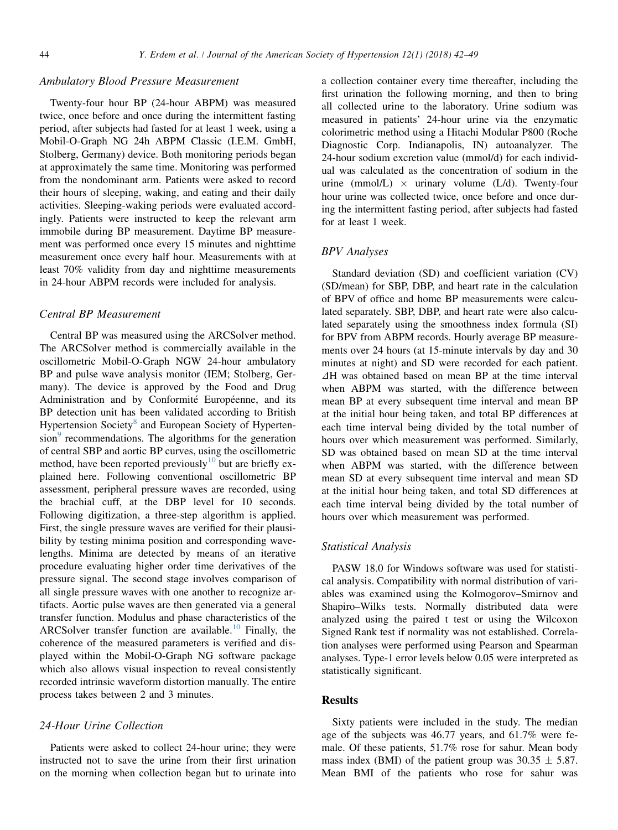## Ambulatory Blood Pressure Measurement

Twenty-four hour BP (24-hour ABPM) was measured twice, once before and once during the intermittent fasting period, after subjects had fasted for at least 1 week, using a Mobil-O-Graph NG 24h ABPM Classic (I.E.M. GmbH, Stolberg, Germany) device. Both monitoring periods began at approximately the same time. Monitoring was performed from the nondominant arm. Patients were asked to record their hours of sleeping, waking, and eating and their daily activities. Sleeping-waking periods were evaluated accordingly. Patients were instructed to keep the relevant arm immobile during BP measurement. Daytime BP measurement was performed once every 15 minutes and nighttime measurement once every half hour. Measurements with at least 70% validity from day and nighttime measurements in 24-hour ABPM records were included for analysis.

# Central BP Measurement

Central BP was measured using the ARCSolver method. The ARCSolver method is commercially available in the oscillometric Mobil-O-Graph NGW 24-hour ambulatory BP and pulse wave analysis monitor (IEM; Stolberg, Germany). The device is approved by the Food and Drug Administration and by Conformité Européenne, and its BP detection unit has been validated according to British Hypertension Society<sup>[8](#page-6-0)</sup> and European Society of Hyperten- $sion<sup>9</sup>$  $sion<sup>9</sup>$  $sion<sup>9</sup>$  recommendations. The algorithms for the generation of central SBP and aortic BP curves, using the oscillometric method, have been reported previously<sup>[10](#page-6-0)</sup> but are briefly explained here. Following conventional oscillometric BP assessment, peripheral pressure waves are recorded, using the brachial cuff, at the DBP level for 10 seconds. Following digitization, a three-step algorithm is applied. First, the single pressure waves are verified for their plausibility by testing minima position and corresponding wavelengths. Minima are detected by means of an iterative procedure evaluating higher order time derivatives of the pressure signal. The second stage involves comparison of all single pressure waves with one another to recognize artifacts. Aortic pulse waves are then generated via a general transfer function. Modulus and phase characteristics of the ARCSolver transfer function are available.<sup>[10](#page-6-0)</sup> Finally, the coherence of the measured parameters is verified and displayed within the Mobil-O-Graph NG software package which also allows visual inspection to reveal consistently recorded intrinsic waveform distortion manually. The entire process takes between 2 and 3 minutes.

### 24-Hour Urine Collection

Patients were asked to collect 24-hour urine; they were instructed not to save the urine from their first urination on the morning when collection began but to urinate into a collection container every time thereafter, including the first urination the following morning, and then to bring all collected urine to the laboratory. Urine sodium was measured in patients' 24-hour urine via the enzymatic colorimetric method using a Hitachi Modular P800 (Roche Diagnostic Corp. Indianapolis, IN) autoanalyzer. The 24-hour sodium excretion value (mmol/d) for each individual was calculated as the concentration of sodium in the urine (mmol/L)  $\times$  urinary volume (L/d). Twenty-four hour urine was collected twice, once before and once during the intermittent fasting period, after subjects had fasted for at least 1 week.

#### BPV Analyses

Standard deviation (SD) and coefficient variation (CV) (SD/mean) for SBP, DBP, and heart rate in the calculation of BPV of office and home BP measurements were calculated separately. SBP, DBP, and heart rate were also calculated separately using the smoothness index formula (SI) for BPV from ABPM records. Hourly average BP measurements over 24 hours (at 15-minute intervals by day and 30 minutes at night) and SD were recorded for each patient.  $\Delta H$  was obtained based on mean BP at the time interval when ABPM was started, with the difference between mean BP at every subsequent time interval and mean BP at the initial hour being taken, and total BP differences at each time interval being divided by the total number of hours over which measurement was performed. Similarly, SD was obtained based on mean SD at the time interval when ABPM was started, with the difference between mean SD at every subsequent time interval and mean SD at the initial hour being taken, and total SD differences at each time interval being divided by the total number of hours over which measurement was performed.

# Statistical Analysis

PASW 18.0 for Windows software was used for statistical analysis. Compatibility with normal distribution of variables was examined using the Kolmogorov–Smirnov and Shapiro–Wilks tests. Normally distributed data were analyzed using the paired t test or using the Wilcoxon Signed Rank test if normality was not established. Correlation analyses were performed using Pearson and Spearman analyses. Type-1 error levels below 0.05 were interpreted as statistically significant.

#### **Results**

Sixty patients were included in the study. The median age of the subjects was 46.77 years, and 61.7% were female. Of these patients, 51.7% rose for sahur. Mean body mass index (BMI) of the patient group was  $30.35 \pm 5.87$ . Mean BMI of the patients who rose for sahur was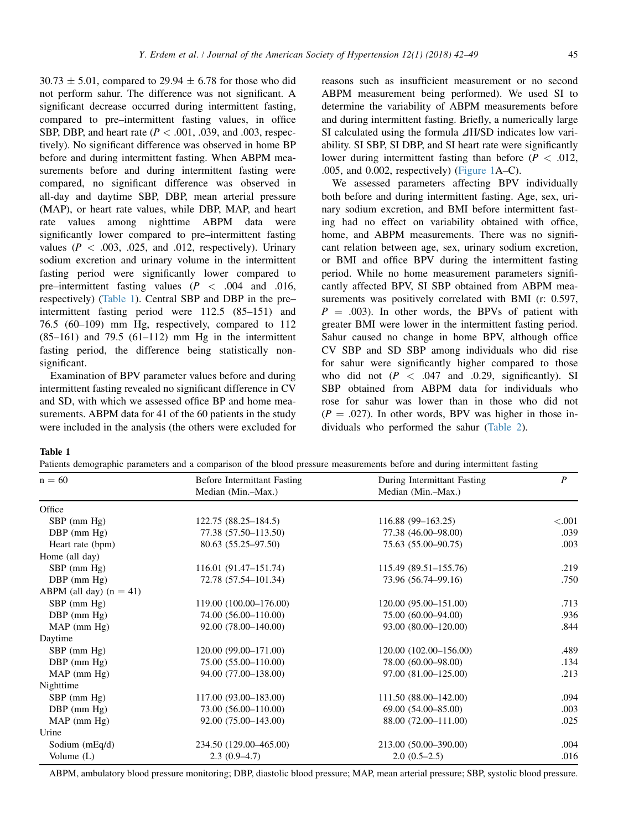$30.73 \pm 5.01$ , compared to 29.94  $\pm$  6.78 for those who did not perform sahur. The difference was not significant. A significant decrease occurred during intermittent fasting, compared to pre–intermittent fasting values, in office SBP, DBP, and heart rate ( $P < .001, .039,$  and .003, respectively). No significant difference was observed in home BP before and during intermittent fasting. When ABPM measurements before and during intermittent fasting were compared, no significant difference was observed in all-day and daytime SBP, DBP, mean arterial pressure (MAP), or heart rate values, while DBP, MAP, and heart rate values among nighttime ABPM data were significantly lower compared to pre–intermittent fasting values ( $P < .003, .025,$  and .012, respectively). Urinary sodium excretion and urinary volume in the intermittent fasting period were significantly lower compared to pre–intermittent fasting values  $(P < .004$  and .016, respectively) (Table 1). Central SBP and DBP in the pre– intermittent fasting period were 112.5 (85–151) and 76.5 (60–109) mm Hg, respectively, compared to 112  $(85-161)$  and 79.5  $(61-112)$  mm Hg in the intermittent fasting period, the difference being statistically nonsignificant.

Examination of BPV parameter values before and during intermittent fasting revealed no significant difference in CV and SD, with which we assessed office BP and home measurements. ABPM data for 41 of the 60 patients in the study were included in the analysis (the others were excluded for reasons such as insufficient measurement or no second ABPM measurement being performed). We used SI to determine the variability of ABPM measurements before and during intermittent fasting. Briefly, a numerically large SI calculated using the formula  $\Delta H/SD$  indicates low variability. SI SBP, SI DBP, and SI heart rate were significantly lower during intermittent fasting than before  $(P < .012)$ , .005, and 0.002, respectively) [\(Figure 1A](#page-4-0)–C).

We assessed parameters affecting BPV individually both before and during intermittent fasting. Age, sex, urinary sodium excretion, and BMI before intermittent fasting had no effect on variability obtained with office, home, and ABPM measurements. There was no significant relation between age, sex, urinary sodium excretion, or BMI and office BPV during the intermittent fasting period. While no home measurement parameters significantly affected BPV, SI SBP obtained from ABPM measurements was positively correlated with BMI (r: 0.597,  $P = .003$ ). In other words, the BPVs of patient with greater BMI were lower in the intermittent fasting period. Sahur caused no change in home BPV, although office CV SBP and SD SBP among individuals who did rise for sahur were significantly higher compared to those who did not  $(P < .047$  and .0.29, significantly). SI SBP obtained from ABPM data for individuals who rose for sahur was lower than in those who did not  $(P = .027)$ . In other words, BPV was higher in those individuals who performed the sahur ([Table 2\)](#page-5-0).

Table 1

Patients demographic parameters and a comparison of the blood pressure measurements before and during intermittent fasting

| $n = 60$                  | <b>Before Intermittant Fasting</b> | During Intermittant Fasting<br>Median (Min.-Max.) | $\boldsymbol{P}$ |
|---------------------------|------------------------------------|---------------------------------------------------|------------------|
|                           | Median (Min.-Max.)                 |                                                   |                  |
| Office                    |                                    |                                                   |                  |
| $SBP$ (mm $Hg$ )          | $122.75(88.25-184.5)$              | $116.88(99-163.25)$                               | < .001           |
| $DBP$ (mm $Hg$ )          | 77.38 (57.50-113.50)               | 77.38 (46.00-98.00)                               | .039             |
| Heart rate (bpm)          | 80.63 (55.25-97.50)                | 75.63 (55.00-90.75)                               | .003             |
| Home (all day)            |                                    |                                                   |                  |
| $SBP$ (mm $Hg$ )          | 116.01 (91.47–151.74)              | 115.49 (89.51–155.76)                             | .219             |
| DBP (mm Hg)               | 72.78 (57.54-101.34)               | 73.96 (56.74-99.16)                               | .750             |
| ABPM (all day) $(n = 41)$ |                                    |                                                   |                  |
| $SBP$ (mm $Hg$ )          | 119.00 (100.00-176.00)             | 120.00 (95.00-151.00)                             | .713             |
| $DBP$ (mm $Hg$ )          | 74.00 (56.00-110.00)               | 75.00 (60.00-94.00)                               | .936             |
| MAP (mm Hg)               | 92.00 (78.00-140.00)               | 93.00 (80.00-120.00)                              | .844             |
| Daytime                   |                                    |                                                   |                  |
| $SBP$ (mm $Hg$ )          | 120.00 (99.00-171.00)              | 120.00 (102.00-156.00)                            | .489             |
| $DBP$ (mm $Hg$ )          | 75.00 (55.00-110.00)               | 78.00 (60.00–98.00)                               | .134             |
| MAP (mm Hg)               | 94.00 (77.00-138.00)               | 97.00 (81.00–125.00)                              | .213             |
| Nighttime                 |                                    |                                                   |                  |
| $SBP$ (mm $Hg$ )          | 117.00 (93.00-183.00)              | 111.50 (88.00–142.00)                             | .094             |
| $DBP$ (mm $Hg$ )          | 73.00 (56.00-110.00)               | $69.00(54.00 - 85.00)$                            | .003             |
| MAP (mm Hg)               | 92.00 (75.00-143.00)               | 88.00 (72.00-111.00)                              | .025             |
| Urine                     |                                    |                                                   |                  |
| Sodium (mEq/d)            | 234.50 (129.00-465.00)             | 213.00 (50.00-390.00)                             | .004             |
| Volume $(L)$              | $2.3(0.9-4.7)$                     | $2.0(0.5-2.5)$                                    | .016             |

ABPM, ambulatory blood pressure monitoring; DBP, diastolic blood pressure; MAP, mean arterial pressure; SBP, systolic blood pressure.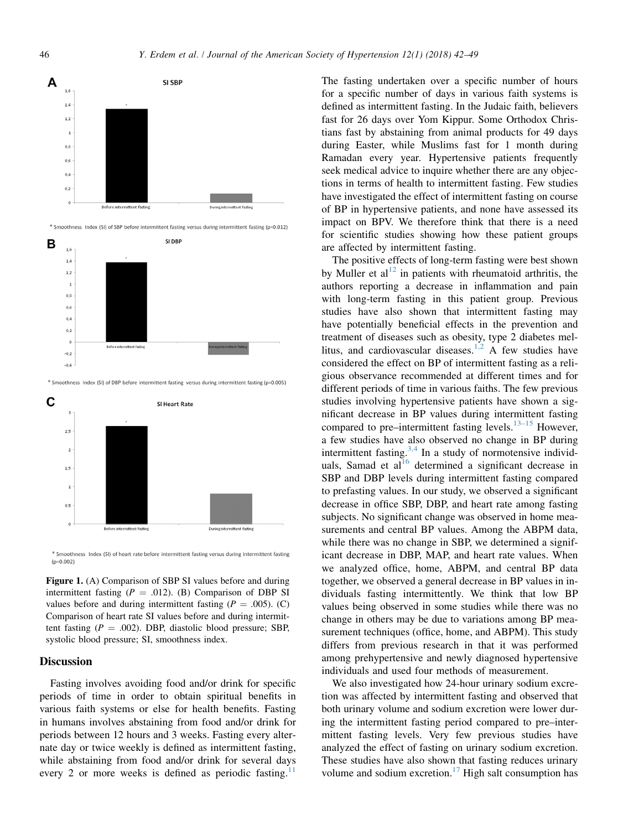<span id="page-4-0"></span>

Smoothness Index (SI) of heart rate before intermittent fasting versus during intermittent fasting  $(p=0.002)$ 

During intermittent fasting

Before intermittent fasting

Figure 1. (A) Comparison of SBP SI values before and during intermittent fasting ( $P = .012$ ). (B) Comparison of DBP SI values before and during intermittent fasting ( $P = .005$ ). (C) Comparison of heart rate SI values before and during intermittent fasting ( $P = .002$ ). DBP, diastolic blood pressure; SBP, systolic blood pressure; SI, smoothness index.

#### **Discussion**

 $\,$  $_{0,5}$  $\theta$ 

Fasting involves avoiding food and/or drink for specific periods of time in order to obtain spiritual benefits in various faith systems or else for health benefits. Fasting in humans involves abstaining from food and/or drink for periods between 12 hours and 3 weeks. Fasting every alternate day or twice weekly is defined as intermittent fasting, while abstaining from food and/or drink for several days every 2 or more weeks is defined as periodic fasting.<sup>1</sup>

The fasting undertaken over a specific number of hours for a specific number of days in various faith systems is defined as intermittent fasting. In the Judaic faith, believers fast for 26 days over Yom Kippur. Some Orthodox Christians fast by abstaining from animal products for 49 days during Easter, while Muslims fast for 1 month during Ramadan every year. Hypertensive patients frequently seek medical advice to inquire whether there are any objections in terms of health to intermittent fasting. Few studies have investigated the effect of intermittent fasting on course of BP in hypertensive patients, and none have assessed its impact on BPV. We therefore think that there is a need for scientific studies showing how these patient groups are affected by intermittent fasting.

The positive effects of long-term fasting were best shown by Muller et  $al<sup>12</sup>$  $al<sup>12</sup>$  $al<sup>12</sup>$  in patients with rheumatoid arthritis, the authors reporting a decrease in inflammation and pain with long-term fasting in this patient group. Previous studies have also shown that intermittent fasting may have potentially beneficial effects in the prevention and treatment of diseases such as obesity, type 2 diabetes mel-litus, and cardiovascular diseases.<sup>[1,2](#page-6-0)</sup> A few studies have considered the effect on BP of intermittent fasting as a religious observance recommended at different times and for different periods of time in various faiths. The few previous studies involving hypertensive patients have shown a significant decrease in BP values during intermittent fasting compared to pre–intermittent fasting levels.<sup>[13–15](#page-6-0)</sup> However, a few studies have also observed no change in BP during intermittent fasting. $3,4$  In a study of normotensive individ-uals, Samad et al<sup>[16](#page-6-0)</sup> determined a significant decrease in SBP and DBP levels during intermittent fasting compared to prefasting values. In our study, we observed a significant decrease in office SBP, DBP, and heart rate among fasting subjects. No significant change was observed in home measurements and central BP values. Among the ABPM data, while there was no change in SBP, we determined a significant decrease in DBP, MAP, and heart rate values. When we analyzed office, home, ABPM, and central BP data together, we observed a general decrease in BP values in individuals fasting intermittently. We think that low BP values being observed in some studies while there was no change in others may be due to variations among BP measurement techniques (office, home, and ABPM). This study differs from previous research in that it was performed among prehypertensive and newly diagnosed hypertensive individuals and used four methods of measurement.

We also investigated how 24-hour urinary sodium excretion was affected by intermittent fasting and observed that both urinary volume and sodium excretion were lower during the intermittent fasting period compared to pre–intermittent fasting levels. Very few previous studies have analyzed the effect of fasting on urinary sodium excretion. These studies have also shown that fasting reduces urinary volume and sodium excretion.<sup>[17](#page-6-0)</sup> High salt consumption has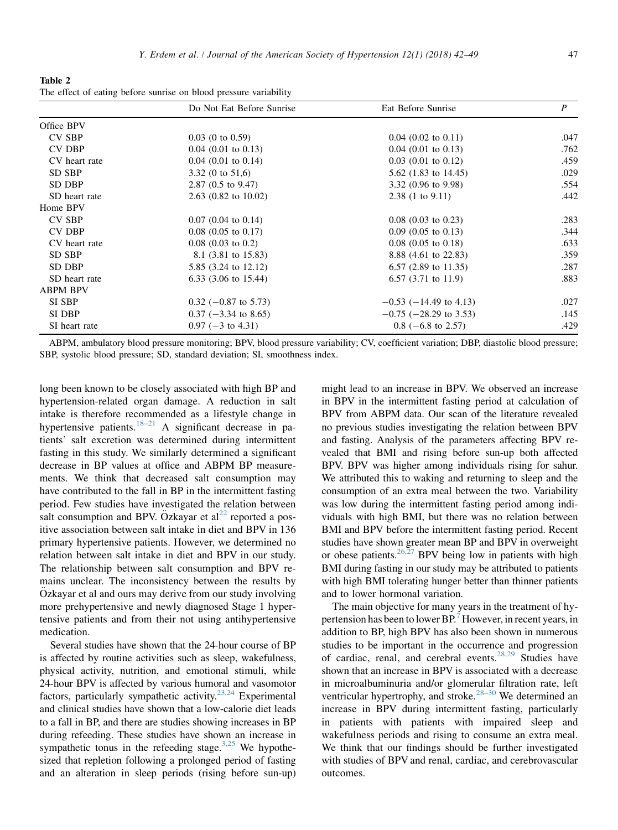<span id="page-5-0"></span>Table 2 The effect of eating before sunrise on blood pressure variability

|                 | Do Not Eat Before Sunrise         | Eat Before Sunrise              | P    |
|-----------------|-----------------------------------|---------------------------------|------|
| Office BPV      |                                   |                                 |      |
| <b>CV SBP</b>   | $0.03$ (0 to 0.59)                | $0.04$ (0.02 to 0.11)           | .047 |
| <b>CV DBP</b>   | $0.04$ (0.01 to 0.13)             | $0.04$ (0.01 to 0.13)           | .762 |
| CV heart rate   | $0.04$ (0.01 to 0.14)             | $0.03$ (0.01 to 0.12)           | .459 |
| SD SBP          | 3.32 (0 to $51,6$ )               | 5.62 $(1.83 \text{ to } 14.45)$ | .029 |
| SD DBP          | $2.87$ (0.5 to 9.47)              | 3.32 $(0.96 \text{ to } 9.98)$  | .554 |
| SD heart rate   | $2.63$ (0.82 to 10.02)            | $2.38(1 \text{ to } 9.11)$      | .442 |
| Home BPV        |                                   |                                 |      |
| <b>CV SBP</b>   | $0.07$ (0.04 to 0.14)             | $0.08$ (0.03 to 0.23)           | .283 |
| <b>CV DBP</b>   | $0.08$ (0.05 to 0.17)             | $0.09$ (0.05 to 0.13)           | .344 |
| CV heart rate   | $0.08$ (0.03 to 0.2)              | $0.08$ (0.05 to 0.18)           | .633 |
| SD SBP          | 8.1 (3.81 to 15.83)               | 8.88 (4.61 to 22.83)            | .359 |
| SD DBP          | 5.85 (3.24 to 12.12)              | $6.57$ (2.89 to 11.35)          | .287 |
| SD heart rate   | $6.33$ $(3.06 \text{ to } 15.44)$ | $6.57$ (3.71 to 11.9)           | .883 |
| <b>ABPM BPV</b> |                                   |                                 |      |
| SI SBP          | $0.32$ (-0.87 to 5.73)            | $-0.53$ ( $-14.49$ to 4.13)     | .027 |
| SI DBP          | $0.37$ (-3.34 to 8.65)            | $-0.75$ ( $-28.29$ to 3.53)     | .145 |
| SI heart rate   | $0.97$ (-3 to 4.31)               | $0.8$ (-6.8 to 2.57)            | .429 |

ABPM, ambulatory blood pressure monitoring; BPV, blood pressure variability; CV, coefficient variation; DBP, diastolic blood pressure; SBP, systolic blood pressure; SD, standard deviation; SI, smoothness index.

long been known to be closely associated with high BP and hypertension-related organ damage. A reduction in salt intake is therefore recommended as a lifestyle change in hypertensive patients.<sup>[18–21](#page-6-0)</sup> A significant decrease in patients' salt excretion was determined during intermittent fasting in this study. We similarly determined a significant decrease in BP values at office and ABPM BP measurements. We think that decreased salt consumption may have contributed to the fall in BP in the intermittent fasting period. Few studies have investigated the relation between salt consumption and BPV. Özkayar et  $al^{22}$  $al^{22}$  $al^{22}$  reported a positive association between salt intake in diet and BPV in 136 primary hypertensive patients. However, we determined no relation between salt intake in diet and BPV in our study. The relationship between salt consumption and BPV remains unclear. The inconsistency between the results by  $Oz$ kayar et al and ours may derive from our study involving more prehypertensive and newly diagnosed Stage 1 hypertensive patients and from their not using antihypertensive medication.

Several studies have shown that the 24-hour course of BP is affected by routine activities such as sleep, wakefulness, physical activity, nutrition, and emotional stimuli, while 24-hour BPV is affected by various humoral and vasomotor factors, particularly sympathetic activity.<sup>23,24</sup> Experimental and clinical studies have shown that a low-calorie diet leads to a fall in BP, and there are studies showing increases in BP during refeeding. These studies have shown an increase in sympathetic tonus in the refeeding stage. $3,25$  We hypothesized that repletion following a prolonged period of fasting and an alteration in sleep periods (rising before sun-up) might lead to an increase in BPV. We observed an increase in BPV in the intermittent fasting period at calculation of BPV from ABPM data. Our scan of the literature revealed no previous studies investigating the relation between BPV and fasting. Analysis of the parameters affecting BPV revealed that BMI and rising before sun-up both affected BPV. BPV was higher among individuals rising for sahur. We attributed this to waking and returning to sleep and the consumption of an extra meal between the two. Variability was low during the intermittent fasting period among individuals with high BMI, but there was no relation between BMI and BPV before the intermittent fasting period. Recent studies have shown greater mean BP and BPV in overweight or obese patients.  $26,27$  BPV being low in patients with high BMI during fasting in our study may be attributed to patients with high BMI tolerating hunger better than thinner patients and to lower hormonal variation.

The main objective for many years in the treatment of hypertension has been to lower  $BP^7$  $BP^7$  However, in recent years, in addition to BP, high BPV has also been shown in numerous studies to be important in the occurrence and progression of cardiac, renal, and cerebral events.<sup>28,29</sup> Studies have shown that an increase in BPV is associated with a decrease in microalbuminuria and/or glomerular filtration rate, left ventricular hypertrophy, and stroke. $28-30$  We determined an increase in BPV during intermittent fasting, particularly in patients with patients with impaired sleep and wakefulness periods and rising to consume an extra meal. We think that our findings should be further investigated with studies of BPV and renal, cardiac, and cerebrovascular outcomes.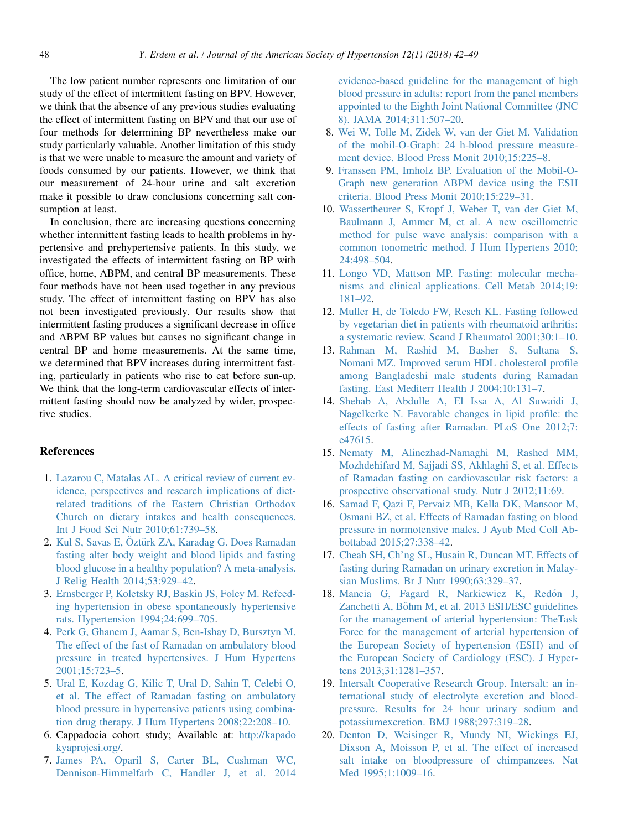<span id="page-6-0"></span>The low patient number represents one limitation of our study of the effect of intermittent fasting on BPV. However, we think that the absence of any previous studies evaluating the effect of intermittent fasting on BPV and that our use of four methods for determining BP nevertheless make our study particularly valuable. Another limitation of this study is that we were unable to measure the amount and variety of foods consumed by our patients. However, we think that our measurement of 24-hour urine and salt excretion make it possible to draw conclusions concerning salt consumption at least.

In conclusion, there are increasing questions concerning whether intermittent fasting leads to health problems in hypertensive and prehypertensive patients. In this study, we investigated the effects of intermittent fasting on BP with office, home, ABPM, and central BP measurements. These four methods have not been used together in any previous study. The effect of intermittent fasting on BPV has also not been investigated previously. Our results show that intermittent fasting produces a significant decrease in office and ABPM BP values but causes no significant change in central BP and home measurements. At the same time, we determined that BPV increases during intermittent fasting, particularly in patients who rise to eat before sun-up. We think that the long-term cardiovascular effects of intermittent fasting should now be analyzed by wider, prospective studies.

# **References**

- 1. [Lazarou C, Matalas AL. A critical review of current ev](http://refhub.elsevier.com/S1933-1711(17)30412-6/sref1)[idence, perspectives and research implications of diet](http://refhub.elsevier.com/S1933-1711(17)30412-6/sref1)[related traditions of the Eastern Christian Orthodox](http://refhub.elsevier.com/S1933-1711(17)30412-6/sref1) [Church on dietary intakes and health consequences.](http://refhub.elsevier.com/S1933-1711(17)30412-6/sref1) [Int J Food Sci Nutr 2010;61:739–58.](http://refhub.elsevier.com/S1933-1711(17)30412-6/sref1)
- 2. [Kul S, Savas E,](http://refhub.elsevier.com/S1933-1711(17)30412-6/sref2) O[zt](http://refhub.elsevier.com/S1933-1711(17)30412-6/sref2)ü[rk ZA, Karadag G. Does Ramadan](http://refhub.elsevier.com/S1933-1711(17)30412-6/sref2) [fasting alter body weight and blood lipids and fasting](http://refhub.elsevier.com/S1933-1711(17)30412-6/sref2) [blood glucose in a healthy population? A meta-analysis.](http://refhub.elsevier.com/S1933-1711(17)30412-6/sref2) [J Relig Health 2014;53:929–42](http://refhub.elsevier.com/S1933-1711(17)30412-6/sref2).
- 3. [Ernsberger P, Koletsky RJ, Baskin JS, Foley M. Refeed](http://refhub.elsevier.com/S1933-1711(17)30412-6/sref3)[ing hypertension in obese spontaneously hypertensive](http://refhub.elsevier.com/S1933-1711(17)30412-6/sref3) [rats. Hypertension 1994;24:699–705](http://refhub.elsevier.com/S1933-1711(17)30412-6/sref3).
- 4. [Perk G, Ghanem J, Aamar S, Ben-Ishay D, Bursztyn M.](http://refhub.elsevier.com/S1933-1711(17)30412-6/sref4) [The effect of the fast of Ramadan on ambulatory blood](http://refhub.elsevier.com/S1933-1711(17)30412-6/sref4) [pressure in treated hypertensives. J Hum Hypertens](http://refhub.elsevier.com/S1933-1711(17)30412-6/sref4) [2001;15:723–5.](http://refhub.elsevier.com/S1933-1711(17)30412-6/sref4)
- 5. [Ural E, Kozdag G, Kilic T, Ural D, Sahin T, Celebi O,](http://refhub.elsevier.com/S1933-1711(17)30412-6/sref5) [et al. The effect of Ramadan fasting on ambulatory](http://refhub.elsevier.com/S1933-1711(17)30412-6/sref5) [blood pressure in hypertensive patients using combina](http://refhub.elsevier.com/S1933-1711(17)30412-6/sref5)[tion drug therapy. J Hum Hypertens 2008;22:208–10.](http://refhub.elsevier.com/S1933-1711(17)30412-6/sref5)
- 6. Cappadocia cohort study; Available at: [http://kapado](http://kapadokyaprojesi.org/) [kyaprojesi.org/](http://kapadokyaprojesi.org/).
- 7. [James PA, Oparil S, Carter BL, Cushman WC,](http://refhub.elsevier.com/S1933-1711(17)30412-6/sref7) [Dennison-Himmelfarb C, Handler J, et al. 2014](http://refhub.elsevier.com/S1933-1711(17)30412-6/sref7)

[evidence-based guideline for the management of high](http://refhub.elsevier.com/S1933-1711(17)30412-6/sref7) [blood pressure in adults: report from the panel members](http://refhub.elsevier.com/S1933-1711(17)30412-6/sref7) [appointed to the Eighth Joint National Committee \(JNC](http://refhub.elsevier.com/S1933-1711(17)30412-6/sref7) [8\). JAMA 2014;311:507–20.](http://refhub.elsevier.com/S1933-1711(17)30412-6/sref7)

- 8. [Wei W, Tolle M, Zidek W, van der Giet M. Validation](http://refhub.elsevier.com/S1933-1711(17)30412-6/sref8) [of the mobil-O-Graph: 24 h-blood pressure measure](http://refhub.elsevier.com/S1933-1711(17)30412-6/sref8)[ment device. Blood Press Monit 2010;15:225–8.](http://refhub.elsevier.com/S1933-1711(17)30412-6/sref8)
- 9. [Franssen PM, Imholz BP. Evaluation of the Mobil-O-](http://refhub.elsevier.com/S1933-1711(17)30412-6/sref9)[Graph new generation ABPM device using the ESH](http://refhub.elsevier.com/S1933-1711(17)30412-6/sref9) [criteria. Blood Press Monit 2010;15:229–31](http://refhub.elsevier.com/S1933-1711(17)30412-6/sref9).
- 10. [Wassertheurer S, Kropf J, Weber T, van der Giet M,](http://refhub.elsevier.com/S1933-1711(17)30412-6/sref10) [Baulmann J, Ammer M, et al. A new oscillometric](http://refhub.elsevier.com/S1933-1711(17)30412-6/sref10) [method for pulse wave analysis: comparison with a](http://refhub.elsevier.com/S1933-1711(17)30412-6/sref10) [common tonometric method. J Hum Hypertens 2010;](http://refhub.elsevier.com/S1933-1711(17)30412-6/sref10) [24:498–504](http://refhub.elsevier.com/S1933-1711(17)30412-6/sref10).
- 11. [Longo VD, Mattson MP. Fasting: molecular mecha](http://refhub.elsevier.com/S1933-1711(17)30412-6/sref11)[nisms and clinical applications. Cell Metab 2014;19:](http://refhub.elsevier.com/S1933-1711(17)30412-6/sref11) [181–92](http://refhub.elsevier.com/S1933-1711(17)30412-6/sref11).
- 12. [Muller H, de Toledo FW, Resch KL. Fasting followed](http://refhub.elsevier.com/S1933-1711(17)30412-6/sref12) [by vegetarian diet in patients with rheumatoid arthritis:](http://refhub.elsevier.com/S1933-1711(17)30412-6/sref12) [a systematic review. Scand J Rheumatol 2001;30:1–10.](http://refhub.elsevier.com/S1933-1711(17)30412-6/sref12)
- 13. [Rahman M, Rashid M, Basher S, Sultana S,](http://refhub.elsevier.com/S1933-1711(17)30412-6/sref13) [Nomani MZ. Improved serum HDL cholesterol profile](http://refhub.elsevier.com/S1933-1711(17)30412-6/sref13) [among Bangladeshi male students during Ramadan](http://refhub.elsevier.com/S1933-1711(17)30412-6/sref13) [fasting. East Mediterr Health J 2004;10:131–7](http://refhub.elsevier.com/S1933-1711(17)30412-6/sref13).
- 14. [Shehab A, Abdulle A, El Issa A, Al Suwaidi J,](http://refhub.elsevier.com/S1933-1711(17)30412-6/sref14) [Nagelkerke N. Favorable changes in lipid profile: the](http://refhub.elsevier.com/S1933-1711(17)30412-6/sref14) [effects of fasting after Ramadan. PLoS One 2012;7:](http://refhub.elsevier.com/S1933-1711(17)30412-6/sref14) [e47615.](http://refhub.elsevier.com/S1933-1711(17)30412-6/sref14)
- 15. [Nematy M, Alinezhad-Namaghi M, Rashed MM,](http://refhub.elsevier.com/S1933-1711(17)30412-6/sref15) [Mozhdehifard M, Sajjadi SS, Akhlaghi S, et al. Effects](http://refhub.elsevier.com/S1933-1711(17)30412-6/sref15) [of Ramadan fasting on cardiovascular risk factors: a](http://refhub.elsevier.com/S1933-1711(17)30412-6/sref15) [prospective observational study. Nutr J 2012;11:69.](http://refhub.elsevier.com/S1933-1711(17)30412-6/sref15)
- 16. [Samad F, Qazi F, Pervaiz MB, Kella DK, Mansoor M,](http://refhub.elsevier.com/S1933-1711(17)30412-6/sref16) [Osmani BZ, et al. Effects of Ramadan fasting on blood](http://refhub.elsevier.com/S1933-1711(17)30412-6/sref16) [pressure in normotensive males. J Ayub Med Coll Ab](http://refhub.elsevier.com/S1933-1711(17)30412-6/sref16)[bottabad 2015;27:338–42.](http://refhub.elsevier.com/S1933-1711(17)30412-6/sref16)
- 17. [Cheah SH, Ch'ng SL, Husain R, Duncan MT. Effects of](http://refhub.elsevier.com/S1933-1711(17)30412-6/sref17) [fasting during Ramadan on urinary excretion in Malay](http://refhub.elsevier.com/S1933-1711(17)30412-6/sref17)[sian Muslims. Br J Nutr 1990;63:329–37](http://refhub.elsevier.com/S1933-1711(17)30412-6/sref17).
- 18. [Mancia G, Fagard R, Narkiewicz K, Red](http://refhub.elsevier.com/S1933-1711(17)30412-6/sref18)ón J, [Zanchetti A, B](http://refhub.elsevier.com/S1933-1711(17)30412-6/sref18)ö[hm M, et al. 2013 ESH/ESC guidelines](http://refhub.elsevier.com/S1933-1711(17)30412-6/sref18) [for the management of arterial hypertension: TheTask](http://refhub.elsevier.com/S1933-1711(17)30412-6/sref18) [Force for the management of arterial hypertension of](http://refhub.elsevier.com/S1933-1711(17)30412-6/sref18) [the European Society of hypertension \(ESH\) and of](http://refhub.elsevier.com/S1933-1711(17)30412-6/sref18) [the European Society of Cardiology \(ESC\). J Hyper](http://refhub.elsevier.com/S1933-1711(17)30412-6/sref18)[tens 2013;31:1281–357](http://refhub.elsevier.com/S1933-1711(17)30412-6/sref18).
- 19. [Intersalt Cooperative Research Group. Intersalt: an in](http://refhub.elsevier.com/S1933-1711(17)30412-6/sref19)[ternational study of electrolyte excretion and blood](http://refhub.elsevier.com/S1933-1711(17)30412-6/sref19)[pressure. Results for 24 hour urinary sodium and](http://refhub.elsevier.com/S1933-1711(17)30412-6/sref19) [potassiumexcretion. BMJ 1988;297:319–28](http://refhub.elsevier.com/S1933-1711(17)30412-6/sref19).
- 20. [Denton D, Weisinger R, Mundy NI, Wickings EJ,](http://refhub.elsevier.com/S1933-1711(17)30412-6/sref20) [Dixson A, Moisson P, et al. The effect of increased](http://refhub.elsevier.com/S1933-1711(17)30412-6/sref20) [salt intake on bloodpressure of chimpanzees. Nat](http://refhub.elsevier.com/S1933-1711(17)30412-6/sref20) [Med 1995;1:1009–16.](http://refhub.elsevier.com/S1933-1711(17)30412-6/sref20)